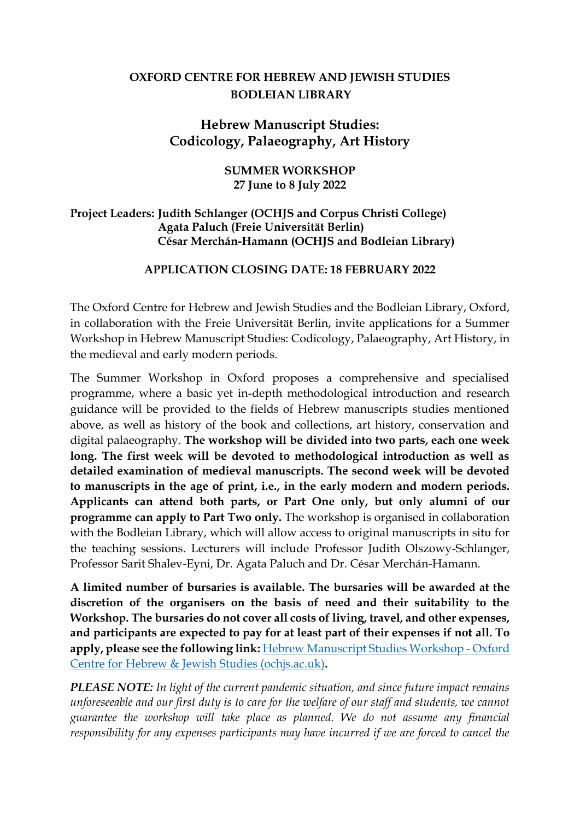## **OXFORD CENTRE FOR HEBREW AND JEWISH STUDIES BODLEIAN LIBRARY**

# **Hebrew Manuscript Studies: Codicology, Palaeography, Art History**

#### **SUMMER WORKSHOP 27 June to 8 July 2022**

### **Project Leaders: Judith Schlanger (OCHJS and Corpus Christi College) Agata Paluch (Freie Universität Berlin) César Merchán-Hamann (OCHJS and Bodleian Library)**

#### **APPLICATION CLOSING DATE: 18 FEBRUARY 2022**

The Oxford Centre for Hebrew and Jewish Studies and the Bodleian Library, Oxford, in collaboration with the Freie Universität Berlin, invite applications for a Summer Workshop in Hebrew Manuscript Studies: Codicology, Palaeography, Art History, in the medieval and early modern periods.

The Summer Workshop in Oxford proposes a comprehensive and specialised programme, where a basic yet in-depth methodological introduction and research guidance will be provided to the fields of Hebrew manuscripts studies mentioned above, as well as history of the book and collections, art history, conservation and digital palaeography. **The workshop will be divided into two parts, each one week long. The first week will be devoted to methodological introduction as well as detailed examination of medieval manuscripts. The second week will be devoted to manuscripts in the age of print, i.e., in the early modern and modern periods. Applicants can attend both parts, or Part One only, but only alumni of our programme can apply to Part Two only.** The workshop is organised in collaboration with the Bodleian Library, which will allow access to original manuscripts in situ for the teaching sessions. Lecturers will include Professor Judith Olszowy-Schlanger, Professor Sarit Shalev-Eyni, Dr. Agata Paluch and Dr. César Merchán-Hamann.

**A limited number of bursaries is available. The bursaries will be awarded at the discretion of the organisers on the basis of need and their suitability to the Workshop. The bursaries do not cover all costs of living, travel, and other expenses, and participants are expected to pay for at least part of their expenses if not all. To apply, please see the following link:** [Hebrew Manuscript Studies Workshop -](https://www.ochjs.ac.uk/academic-seminars/hebrew-manuscript-studies-workshop/) Oxford [Centre for Hebrew & Jewish Studies \(ochjs.ac.uk\)](https://www.ochjs.ac.uk/academic-seminars/hebrew-manuscript-studies-workshop/)**.**

*PLEASE NOTE: In light of the current pandemic situation, and since future impact remains unforeseeable and our first duty is to care for the welfare of our staff and students, we cannot guarantee the workshop will take place as planned. We do not assume any financial responsibility for any expenses participants may have incurred if we are forced to cancel the*